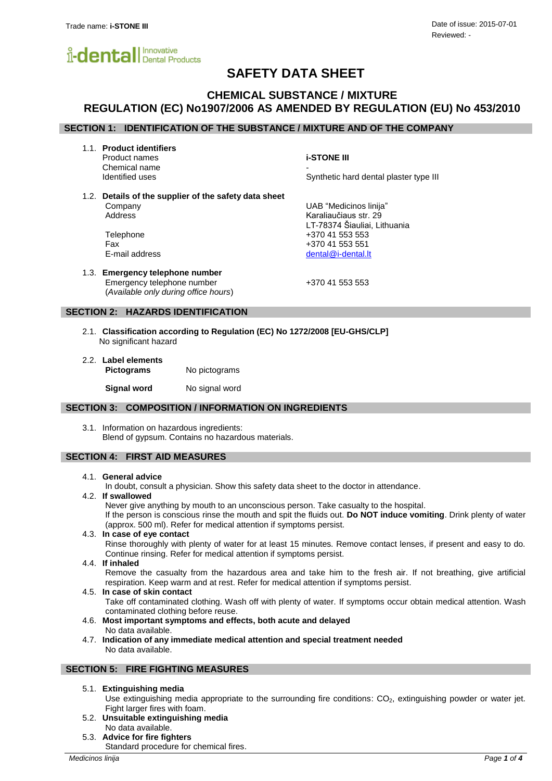

# **SAFETY DATA SHEET**

# **CHEMICAL SUBSTANCE / MIXTURE REGULATION (EC) No1907/2006 AS AMENDED BY REGULATION (EU) No 453/2010**

# **SECTION 1: IDENTIFICATION OF THE SUBSTANCE / MIXTURE AND OF THE COMPANY**

1.1. **Product identifiers**

Product names **i-STONE III** Chemical name<br>Identified uses

Synthetic hard dental plaster type III

LT-78374 Šiauliai, Lithuania

1.2. **Details of the supplier of the safety data sheet** Company UAB "Medicinos linija" Address Karaliaučiaus str. 29

Telephone +370 41 553 553 Fax +370 41 553 551 E-mail address dental and the set of the dental of the dental of the dental. It

1.3. **Emergency telephone number** Emergency telephone number +370 41 553 553 (*Available only during office hours*)

## **SECTION 2: HAZARDS IDENTIFICATION**

- 2.1. **Classification according to Regulation (EC) No 1272/2008 [EU-GHS/CLP]** No significant hazard
- 2.2. **Label elements Pictograms** No pictograms

**Signal word** No signal word

## **SECTION 3: COMPOSITION / INFORMATION ON INGREDIENTS**

3.1. Information on hazardous ingredients: Blend of gypsum. Contains no hazardous materials.

# **SECTION 4: FIRST AID MEASURES**

## 4.1. **General advice**

In doubt, consult a physician. Show this safety data sheet to the doctor in attendance.

4.2. **If swallowed**

Never give anything by mouth to an unconscious person. Take casualty to the hospital. If the person is conscious rinse the mouth and spit the fluids out. **Do NOT induce vomiting**. Drink plenty of water (approx. 500 ml). Refer for medical attention if symptoms persist.

4.3. **In case of eye contact** Rinse thoroughly with plenty of water for at least 15 minutes. Remove contact lenses, if present and easy to do.

Continue rinsing. Refer for medical attention if symptoms persist.

4.4. **If inhaled**

Remove the casualty from the hazardous area and take him to the fresh air. If not breathing, give artificial respiration. Keep warm and at rest. Refer for medical attention if symptoms persist.

4.5. **In case of skin contact**

Take off contaminated clothing. Wash off with plenty of water. If symptoms occur obtain medical attention. Wash contaminated clothing before reuse.

- 4.6. **Most important symptoms and effects, both acute and delayed** No data available.
- 4.7. **Indication of any immediate medical attention and special treatment needed** No data available.

### **SECTION 5: FIRE FIGHTING MEASURES**

5.1. **Extinguishing media**

Use extinguishing media appropriate to the surrounding fire conditions: CO<sub>2</sub>, extinguishing powder or water jet. Fight larger fires with foam.

- 5.2. **Unsuitable extinguishing media** No data available.
- 5.3. **Advice for fire fighters**

Standard procedure for chemical fires.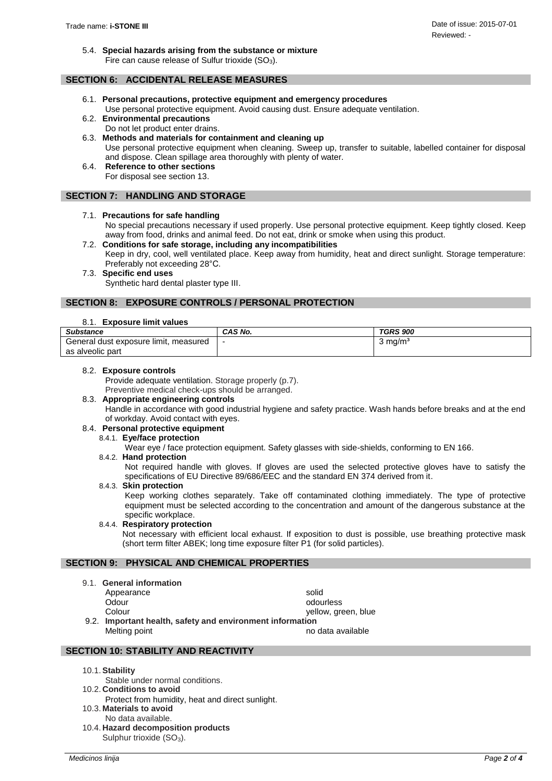5.4. **Special hazards arising from the substance or mixture** Fire can cause release of Sulfur trioxide  $(SO<sub>3</sub>)$ .

# **SECTION 6: ACCIDENTAL RELEASE MEASURES**

- 6.1. **Personal precautions, protective equipment and emergency procedures** Use personal protective equipment. Avoid causing dust. Ensure adequate ventilation.
- 6.2. **Environmental precautions** Do not let product enter drains.
- 6.3. **Methods and materials for containment and cleaning up** Use personal protective equipment when cleaning. Sweep up, transfer to suitable, labelled container for disposal and dispose. Clean spillage area thoroughly with plenty of water.
	- 6.4. **Reference to other sections** For disposal see section 13.

# **SECTION 7: HANDLING AND STORAGE**

# 7.1. **Precautions for safe handling**

No special precautions necessary if used properly. Use personal protective equipment. Keep tightly closed. Keep away from food, drinks and animal feed. Do not eat, drink or smoke when using this product.

- 7.2. **Conditions for safe storage, including any incompatibilities** Keep in dry, cool, well ventilated place. Keep away from humidity, heat and direct sunlight. Storage temperature: Preferably not exceeding 28°C.
- 7.3. **Specific end uses**

Synthetic hard dental plaster type III.

# **SECTION 8: EXPOSURE CONTROLS / PERSONAL PROTECTION**

# 8.1. **Exposure limit values**

| <b>Substance</b>                         | CAS No. | <b>TGRS 900</b>    |
|------------------------------------------|---------|--------------------|
| General dust exposure limit,<br>measured | -       | $3 \text{ ma/m}^3$ |
| as alveolic part                         |         |                    |

# 8.2. **Exposure controls**

Provide adequate ventilation. Storage properly (p.7).

Preventive medical check-ups should be arranged.

# 8.3. **Appropriate engineering controls**

Handle in accordance with good industrial hygiene and safety practice. Wash hands before breaks and at the end of workday. Avoid contact with eyes.

# 8.4. **Personal protective equipment**

8.4.1. **Eye/face protection**

Wear eye / face protection equipment. Safety glasses with side-shields, conforming to EN 166.

### 8.4.2. **Hand protection**

Not required handle with gloves. If gloves are used the selected protective gloves have to satisfy the specifications of EU Directive 89/686/EEC and the standard EN 374 derived from it.

# 8.4.3. **Skin protection**

Keep working clothes separately. Take off contaminated clothing immediately. The type of protective equipment must be selected according to the concentration and amount of the dangerous substance at the specific workplace.

# 8.4.4. **Respiratory protection**

Not necessary with efficient local exhaust. If exposition to dust is possible, use breathing protective mask (short term filter ABEK; long time exposure filter P1 (for solid particles).

# **SECTION 9: PHYSICAL AND CHEMICAL PROPERTIES**

- 9.1. **General information**
	- Appearance solid

Odour odourless odourless Colour colour colour wellow, green, blue

9.2. **Important health, safety and environment information**  Melting point no data available

- 10.1.**Stability**
- Stable under normal conditions. 10.2. **Conditions to avoid**

**SECTION 10: STABILITY AND REACTIVITY**

- Protect from humidity, heat and direct sunlight.
- 10.3. **Materials to avoid**
- No data available. 10.4. **Hazard decomposition products** Sulphur trioxide  $(SO_3)$ .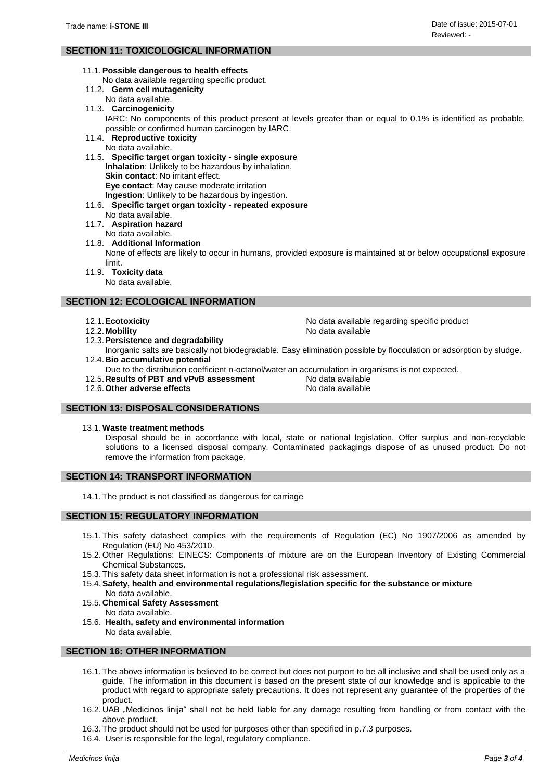# **SECTION 11: TOXICOLOGICAL INFORMATION**

- 11.1.**Possible dangerous to health effects**
	- No data available regarding specific product.
- 11.2. **Germ cell mutagenicity**
- No data available.
- 11.3. **Carcinogenicity**

IARC: No components of this product present at levels greater than or equal to 0.1% is identified as probable, possible or confirmed human carcinogen by IARC.

- 11.4. **Reproductive toxicity**
	- No data available.

11.5. **Specific target organ toxicity - single exposure Inhalation**: Unlikely to be hazardous by inhalation. **Skin contact:** No irritant effect. **Eye contact**: May cause moderate irritation **Ingestion**: Unlikely to be hazardous by ingestion.

- 11.6. **Specific target organ toxicity - repeated exposure**
	- No data available.
- 11.7. **Aspiration hazard**
	- No data available.
- 11.8. **Additional Information**

None of effects are likely to occur in humans, provided exposure is maintained at or below occupational exposure limit.

11.9. **Toxicity data**

No data available.

## **SECTION 12: ECOLOGICAL INFORMATION**

- 12.1.**Ecotoxicity** No data available regarding specific product
- 12.2. Mobility **No. 2.2.** Mobility **No. 2.2.** Mobility
- 12.3.**Persistence and degradability**
- Inorganic salts are basically not biodegradable. Easy elimination possible by flocculation or adsorption by sludge. 12.4.**Bio accumulative potential**
- Due to the distribution coefficient n-octanol/water an accumulation in organisms is not expected.
- 12.5. **Results of PBT and vPvB assessment** No data available
- 12.6. Other adverse effects **No. 2.5. Except** 12.6. Other adverse effects

# **SECTION 13: DISPOSAL CONSIDERATIONS**

#### 13.1. **Waste treatment methods**

Disposal should be in accordance with local, state or national legislation. Offer surplus and non-recyclable solutions to a licensed disposal company. Contaminated packagings dispose of as unused product. Do not remove the information from package.

## **SECTION 14: TRANSPORT INFORMATION**

14.1. The product is not classified as dangerous for carriage

# **SECTION 15: REGULATORY INFORMATION**

- 15.1. This safety datasheet complies with the requirements of Regulation (EC) No 1907/2006 as amended by Regulation (EU) No 453/2010.
- 15.2. Other Regulations: EINECS: Components of mixture are on the European Inventory of Existing Commercial Chemical Substances.
- 15.3. This safety data sheet information is not a professional risk assessment.
- 15.4.**Safety, health and environmental regulations/legislation specific for the substance or mixture**
- No data available. 15.5. **Chemical Safety Assessment**
- No data available.
- 15.6. **Health, safety and environmental information** No data available.

### **SECTION 16: OTHER INFORMATION**

- 16.1. The above information is believed to be correct but does not purport to be all inclusive and shall be used only as a guide. The information in this document is based on the present state of our knowledge and is applicable to the product with regard to appropriate safety precautions. It does not represent any guarantee of the properties of the product.
- 16.2. UAB "Medicinos linija" shall not be held liable for any damage resulting from handling or from contact with the above product.
- 16.3. The product should not be used for purposes other than specified in p.7.3 purposes.
- 16.4. User is responsible for the legal, regulatory compliance.